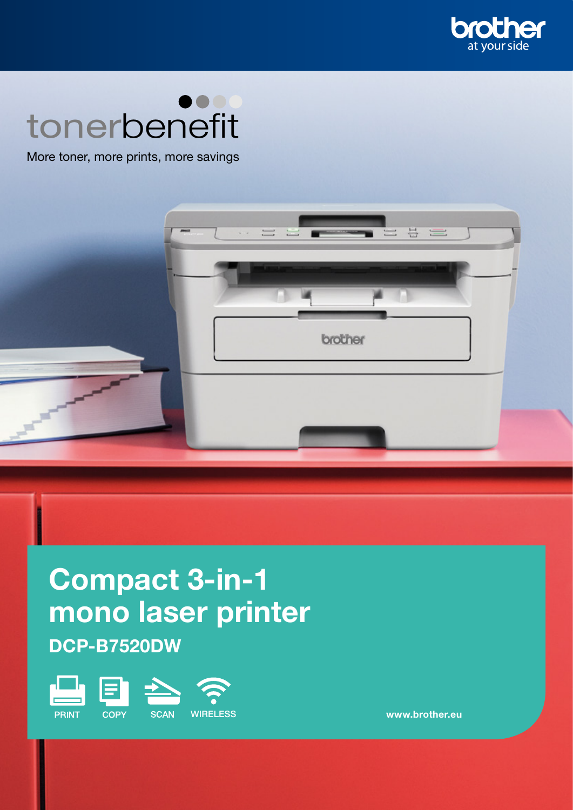

# tonerbenefit

More toner, more prints, more savings



# Compact 3-in-1 mono laser printer DCP-B7520DW



www.brother.eu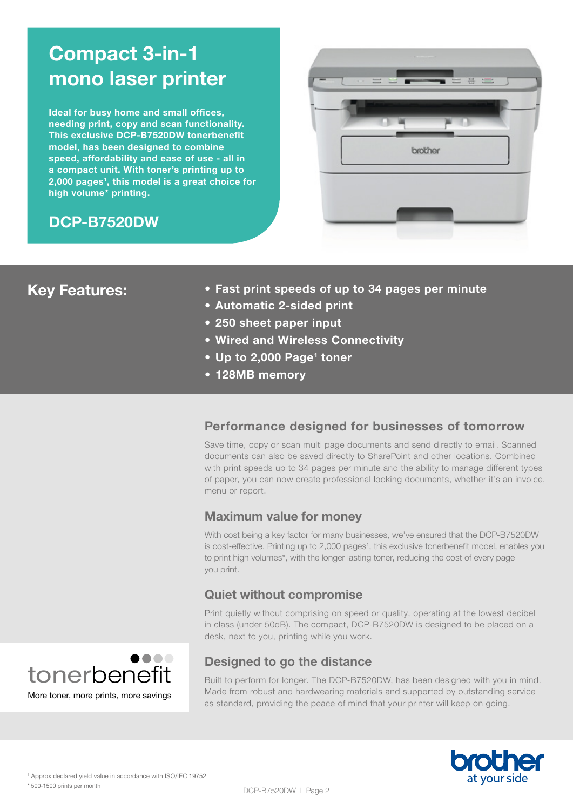# Compact 3-in-1 mono laser printer

Ideal for busy home and small offices, needing print, copy and scan functionality. This exclusive DCP-B7520DW tonerbenefit model, has been designed to combine speed, affordability and ease of use - all in a compact unit. With toner's printing up to 2,000 pages<sup>1</sup>, this model is a great choice for high volume\* printing.

# DCP-B7520DW



# Key Features:

- Fast print speeds of up to 34 pages per minute
- Automatic 2-sided print
- 250 sheet paper input
- Wired and Wireless Connectivity
- Up to 2,000 Page<sup>1</sup> toner
- 128MB memory

# Performance designed for businesses of tomorrow

Save time, copy or scan multi page documents and send directly to email. Scanned documents can also be saved directly to SharePoint and other locations. Combined with print speeds up to 34 pages per minute and the ability to manage different types of paper, you can now create professional looking documents, whether it's an invoice, menu or report.

# Maximum value for money

With cost being a key factor for many businesses, we've ensured that the DCP-B7520DW is cost-effective. Printing up to 2,000 pages<sup>1</sup>, this exclusive tonerbenefit model, enables you to print high volumes\*, with the longer lasting toner, reducing the cost of every page you print.

# Quiet without compromise

Print quietly without comprising on speed or quality, operating at the lowest decibel in class (under 50dB). The compact, DCP-B7520DW is designed to be placed on a desk, next to you, printing while you work.



# Designed to go the distance

Built to perform for longer. The DCP-B7520DW, has been designed with you in mind. Made from robust and hardwearing materials and supported by outstanding service as standard, providing the peace of mind that your printer will keep on going.

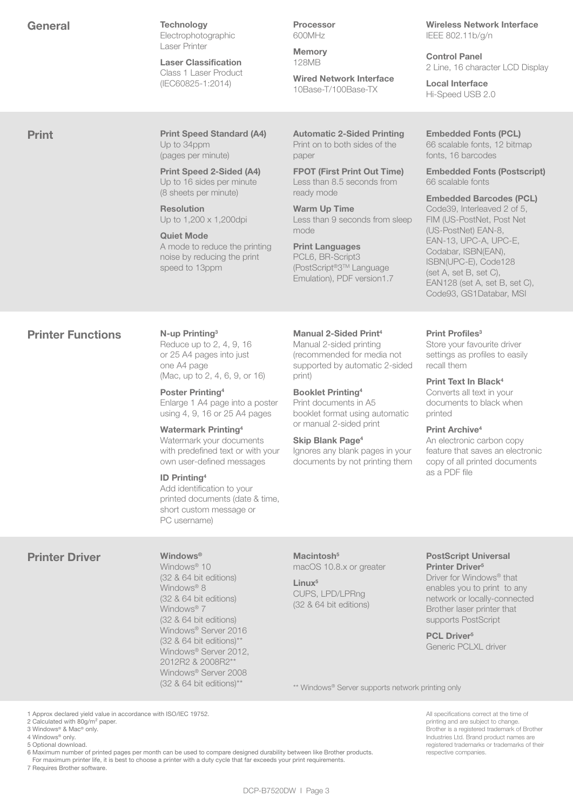|--|--|--|

**Technology** Electrophotographic Laser Printer

Laser Classification Class 1 Laser Product (IEC60825-1:2014)

Processor 600MHz

Memory 128MB

Wired Network Interface 10Base-T/100Base-TX

Wireless Network Interface IEEE 802.11b/g/n

Control Panel 2 Line, 16 character LCD Display

Local Interface Hi-Speed USB 2.0

**Print Print Speed Standard (A4)** Up to 34ppm (pages per minute)

> Print Speed 2-Sided (A4) Up to 16 sides per minute (8 sheets per minute)

Resolution Up to 1,200 x 1,200dpi

Quiet Mode A mode to reduce the printing noise by reducing the print speed to 13ppm

Automatic 2-Sided Printing Print on to both sides of the paper

FPOT (First Print Out Time) Less than 8.5 seconds from ready mode

Warm Up Time Less than 9 seconds from sleep mode

Print Languages PCL6, BR-Script3 (PostScript®3TM Language Emulation), PDF version1.7

#### Embedded Fonts (PCL) 66 scalable fonts, 12 bitmap fonts, 16 barcodes

Embedded Fonts (Postscript) 66 scalable fonts

Embedded Barcodes (PCL) Code39, Interleaved 2 of 5, FIM (US-PostNet, Post Net (US-PostNet) EAN-8, EAN-13, UPC-A, UPC-E, Codabar, ISBN(EAN), ISBN(UPC-E), Code128 (set A, set B, set C), EAN128 (set A, set B, set C), Code93, GS1Databar, MSI

# **Printer Functions** N-up Printing<sup>3</sup>

Reduce up to 2, 4, 9, 16 or 25 A4 pages into just one A4 page (Mac, up to 2, 4, 6, 9, or 16)

Poster Printing4 Enlarge 1 A4 page into a poster using 4, 9, 16 or 25 A4 pages

Watermark Printing4 Watermark your documents with predefined text or with your

own user-defined messages

# ID Printing4

Add identification to your printed documents (date & time, short custom message or PC username)

Manual 2-Sided Print4 Manual 2-sided printing (recommended for media not supported by automatic 2-sided print)

Booklet Printing4 Print documents in A5 booklet format using automatic or manual 2-sided print

# Skip Blank Page<sup>4</sup>

Ignores any blank pages in your documents by not printing them

# Print Profiles<sup>3</sup>

Store your favourite driver settings as profiles to easily recall them

Print Text In Black4

Converts all text in your documents to black when printed

# Print Archive<sup>4</sup>

An electronic carbon copy feature that saves an electronic copy of all printed documents as a PDF file

# Printer Driver Windows®

Windows® 10 (32 & 64 bit editions) Windows<sup>®</sup> 8 (32 & 64 bit editions) Windows® 7 (32 & 64 bit editions) Windows® Server 2016  $(32 \& 64 \text{ bit editions})^*$ Windows® Server 2012, 2012R2 & 2008R2\*\* Windows® Server 2008  $(32 \& 64 \text{ bit editions})^{**}$ 

Macintosh<sup>5</sup> macOS 10.8.x or greater

Linux<sup>5</sup> CUPS, LPD/LPRng (32 & 64 bit editions)

#### PostScript Universal Printer Driver<sup>5</sup>

Driver for Windows® that enables you to print to any network or locally-connected Brother laser printer that supports PostScript

PCL Driver<sup>5</sup> Generic PCLXL driver

\*\* Windows® Server supports network printing only

1 Approx declared yield value in accordance with ISO/IEC 19752.

2 Calculated with 80g/m<sup>2</sup> paper.

3 Windows® & Mac® only. 4 Windows® only.

5 Optional download.

6 Maximum number of printed pages per month can be used to compare designed durability between like Brother products.

For maximum printer life, it is best to choose a printer with a duty cycle that far exceeds your print requirements.

7 Requires Brother software.

All specifications correct at the time of printing and are subject to change. Brother is a registered trademark of Brother Industries Ltd. Brand product names are registered trademarks or trademarks of their respective companies.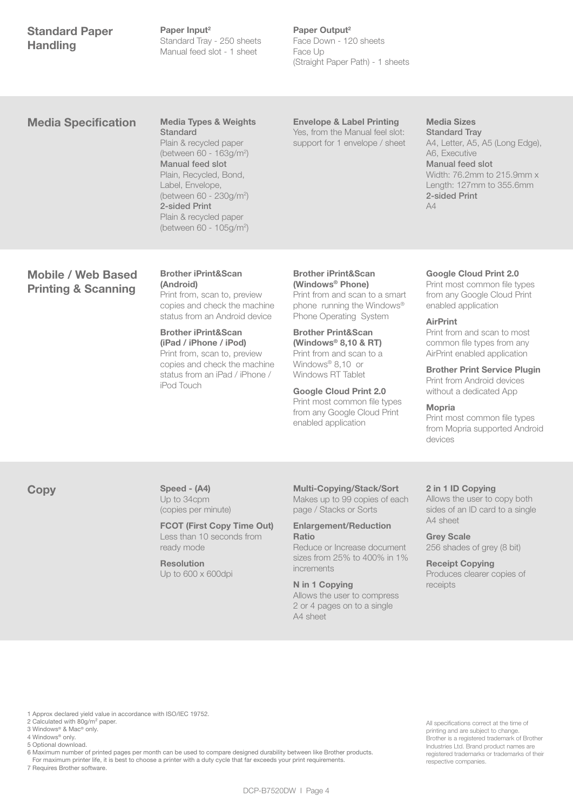# Standard Paper **Handling**

Paper Input<sup>2</sup> Standard Tray - 250 sheets Manual feed slot - 1 sheet

# Paper Output<sup>2</sup>

Face Down - 120 sheets Face Up (Straight Paper Path) - 1 sheets

# Media Specification Media Types & Weights

**Standard** Plain & recycled paper (between 60 - 163g/m2 ) Manual feed slot Plain, Recycled, Bond, Label, Envelope, (between 60 - 230g/m2 ) 2-sided Print Plain & recycled paper (between 60 - 105g/m2 )

# Envelope & Label Printing

Yes, from the Manual feel slot: support for 1 envelope / sheet

# Media Sizes

Standard Tray A4, Letter, A5, A5 (Long Edge), A6, Executive Manual feed slot Width: 76.2mm to 215.9mm x Length: 127mm to 355.6mm 2-sided Print  $\Delta\Delta$ 

# Mobile / Web Based Printing & Scanning

# Brother iPrint&Scan (Android) Print from, scan to, preview copies and check the machine

status from an Android device Brother iPrint&Scan (iPad / iPhone / iPod)

Print from, scan to, preview copies and check the machine status from an iPad / iPhone / iPod Touch

# Brother iPrint&Scan (Windows® Phone) Print from and scan to a smart

phone running the Windows® Phone Operating System

#### Brother Print&Scan (Windows® 8,10 & RT) Print from and scan to a Windows® 8,10 or Windows RT Tablet

Google Cloud Print 2.0 Print most common file types from any Google Cloud Print enabled application

### Google Cloud Print 2.0

Print most common file types from any Google Cloud Print enabled application

# AirPrint

Print from and scan to most common file types from any AirPrint enabled application

Brother Print Service Plugin Print from Android devices without a dedicated App

#### Mopria

Print most common file types from Mopria supported Android devices

#### Copy Speed - (A4) Up to 34cpm (copies per minute)

FCOT (First Copy Time Out) Less than 10 seconds from ready mode

#### Resolution Up to 600 x 600dpi

# Multi-Copying/Stack/Sort

Makes up to 99 copies of each page / Stacks or Sorts

#### Enlargement/Reduction Ratio

Reduce or Increase document sizes from 25% to 400% in 1% incramente

N in 1 Copying Allows the user to compress 2 or 4 pages on to a single A4 sheet

# 2 in 1 ID Copying

Allows the user to copy both sides of an ID card to a single A4 sheet

### Grey Scale 256 shades of grey (8 bit)

Receipt Copying Produces clearer copies of receipts

All specifications correct at the time of printing and are subject to change. Brother is a registered trademark of Brother Industries Ltd. Brand product names are registered trademarks or trademarks of their

respective companies.

1 Approx declared yield value in accordance with ISO/IEC 19752.

- 2 Calculated with 80g/m<sup>2</sup> paper.
- 3 Windows® & Mac® only. 4 Windows® only.
- 5 Optional download.

6 Maximum number of printed pages per month can be used to compare designed durability between like Brother products.

 For maximum printer life, it is best to choose a printer with a duty cycle that far exceeds your print requirements. 7 Requires Brother software.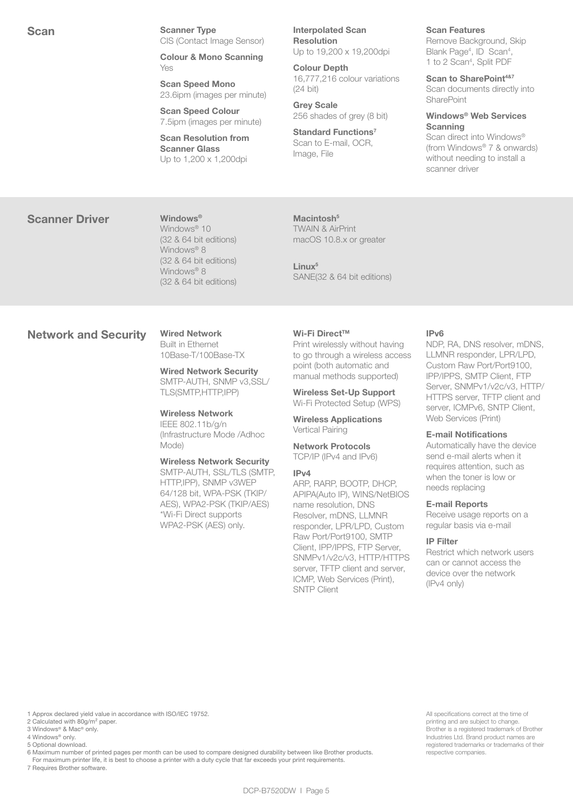Scan Interpolated Scanner Type Scanner Type Interpolated Scan Scanner Type CIS (Contact Image Sensor)

> Colour & Mono Scanning Yes

Scan Speed Mono 23.6ipm (images per minute)

Scan Speed Colour 7.5ipm (images per minute)

Scan Resolution from Scanner Glass Up to 1,200 x 1,200dpi

Resolution Up to 19,200 x 19,200dpi

Colour Depth 16,777,216 colour variations (24 bit)

Grey Scale 256 shades of grey (8 bit)

Standard Functions<sup>7</sup> Scan to E-mail, OCR, Image, File

#### Scan Features

Remove Background, Skip Blank Page<sup>4</sup>, ID Scan<sup>4</sup>, 1 to 2 Scan4 , Split PDF

Scan to SharePoint<sup>4&7</sup> Scan documents directly into SharePoint

Windows® Web Services **Scanning** Scan direct into Windows®

(from Windows® 7 & onwards) without needing to install a scanner driver

# Scanner Driver Windows®

Windows<sup>®</sup> 10 (32 & 64 bit editions) Windows<sup>®</sup> 8 (32 & 64 bit editions) Windows® 8 (32 & 64 bit editions)

TWAIN & AirPrint macOS 10.8.x or greater

Macintosh<sup>5</sup>

Linux<sup>5</sup> SANE(32 & 64 bit editions)

# Network and Security Wired Network

Built in Ethernet 10Base-T/100Base-TX

Wired Network Security SMTP-AUTH, SNMP v3,SSL/ TLS(SMTP,HTTP,IPP)

Wireless Network IEEE 802.11b/g/n (Infrastructure Mode /Adhoc Mode)

Wireless Network Security SMTP-AUTH, SSL/TLS (SMTP, HTTP,IPP), SNMP v3WEP 64/128 bit, WPA-PSK (TKIP/ AES), WPA2-PSK (TKIP/AES) \*Wi-Fi Direct supports WPA2-PSK (AES) only.

#### Wi-Fi Direct™

Print wirelessly without having to go through a wireless access point (both automatic and manual methods supported)

Wireless Set-Up Support Wi-Fi Protected Setup (WPS)

Wireless Applications Vertical Pairing

Network Protocols TCP/IP (IPv4 and IPv6)

#### IPv4

ARP, RARP, BOOTP, DHCP, APIPA(Auto IP), WINS/NetBIOS name resolution, DNS Resolver, mDNS, LLMNR responder, LPR/LPD, Custom Raw Port/Port9100, SMTP Client, IPP/IPPS, FTP Server, SNMPv1/v2c/v3, HTTP/HTTPS server, TFTP client and server, ICMP, Web Services (Print), SNTP Client

#### IPv6

NDP, RA, DNS resolver, mDNS, LLMNR responder, LPR/LPD, Custom Raw Port/Port9100, IPP/IPPS, SMTP Client, FTP Server, SNMPv1/v2c/v3, HTTP/ HTTPS server, TFTP client and server, ICMPv6, SNTP Client, Web Services (Print)

#### E-mail Notifications

Automatically have the device send e-mail alerts when it requires attention, such as when the toner is low or needs replacing

#### E-mail Reports

Receive usage reports on a regular basis via e-mail

# IP Filter

Restrict which network users can or cannot access the device over the network (IPv4 only)

1 Approx declared yield value in accordance with ISO/IEC 19752.

- 2 Calculated with 80g/m<sup>2</sup> paper. 3 Windows® & Mac® only.
- 4 Windows® only.

5 Optional download.

6 Maximum number of printed pages per month can be used to compare designed durability between like Brother products.

 For maximum printer life, it is best to choose a printer with a duty cycle that far exceeds your print requirements. 7 Requires Brother software.

All specifications correct at the time of printing and are subject to change. Brother is a registered trademark of Brother Industries Ltd. Brand product names are registered trademarks or trademarks of their respective companies.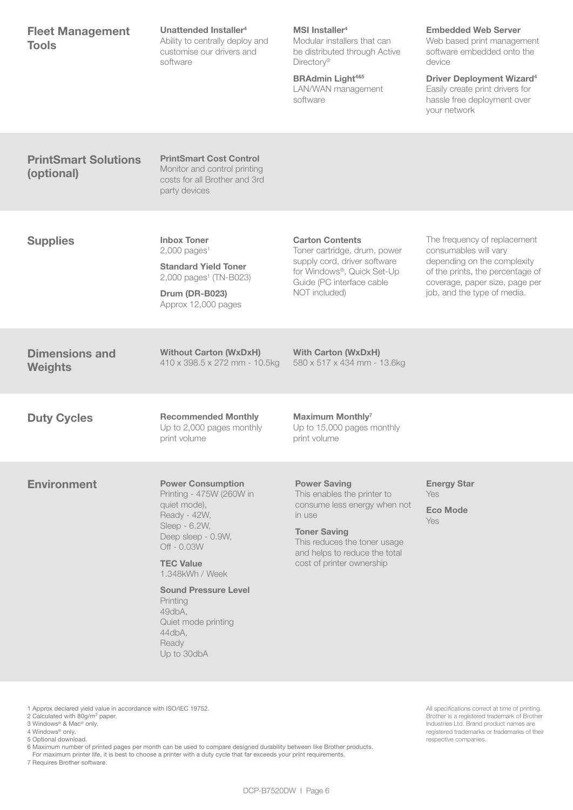| <b>Fleet Management</b><br><b>Tools</b>                                                                                                                       | Unattended Installer <sup>4</sup><br>Ability to centrally deploy and<br>customise our drivers and<br>software                                                                                                                                                                                   | MSI Installer <sup>4</sup><br>Modular installers that can<br>be distributed through Active<br>Directory®<br><b>BRAdmin Light4&amp;5</b><br>LAN/WAN management<br>software                                         | <b>Embedded Web Server</b><br>Web based print management<br>software embedded onto the<br>device<br><b>Driver Deployment Wizard<sup>4</sup></b><br>Easily create print drivers for<br>hassle free deployment over<br>your network |
|---------------------------------------------------------------------------------------------------------------------------------------------------------------|-------------------------------------------------------------------------------------------------------------------------------------------------------------------------------------------------------------------------------------------------------------------------------------------------|-------------------------------------------------------------------------------------------------------------------------------------------------------------------------------------------------------------------|-----------------------------------------------------------------------------------------------------------------------------------------------------------------------------------------------------------------------------------|
| <b>PrintSmart Solutions</b><br>(optional)                                                                                                                     | <b>PrintSmart Cost Control</b><br>Monitor and control printing<br>costs for all Brother and 3rd<br>party devices                                                                                                                                                                                |                                                                                                                                                                                                                   |                                                                                                                                                                                                                                   |
| <b>Supplies</b>                                                                                                                                               | <b>Inbox Toner</b><br>$2,000$ pages <sup>1</sup><br><b>Standard Yield Toner</b><br>2,000 pages <sup>1</sup> (TN-B023)<br>Drum (DR-B023)<br>Approx 12,000 pages                                                                                                                                  | <b>Carton Contents</b><br>Toner cartridge, drum, power<br>supply cord, driver software<br>for Windows®, Quick Set-Up<br>Guide (PC interface cable<br>NOT included)                                                | The frequency of replacement<br>consumables will vary<br>depending on the complexity<br>of the prints, the percentage of<br>coverage, paper size, page per<br>job, and the type of media.                                         |
| <b>Dimensions and</b><br><b>Weights</b>                                                                                                                       | <b>Without Carton (WxDxH)</b><br>410 x 398.5 x 272 mm - 10.5kg                                                                                                                                                                                                                                  | <b>With Carton (WxDxH)</b><br>580 x 517 x 434 mm - 13.6kg                                                                                                                                                         |                                                                                                                                                                                                                                   |
| <b>Duty Cycles</b>                                                                                                                                            | <b>Recommended Monthly</b><br>Up to 2,000 pages monthly<br>print volume                                                                                                                                                                                                                         | <b>Maximum Monthly7</b><br>Up to 15,000 pages monthly<br>print volume                                                                                                                                             |                                                                                                                                                                                                                                   |
| <b>Environment</b>                                                                                                                                            | <b>Power Consumption</b><br>Printing - 475W (260W in<br>quiet mode),<br>Ready - 42W,<br>Sleep - 6.2W,<br>Deep sleep - 0.9W,<br>Off - 0.03W<br><b>TEC Value</b><br>1.348kWh / Week<br><b>Sound Pressure Level</b><br>Printing<br>49dbA,<br>Quiet mode printing<br>44dbA,<br>Ready<br>Up to 30dbA | <b>Power Saving</b><br>This enables the printer to<br>consume less energy when not<br>in use<br><b>Toner Saving</b><br>This reduces the toner usage<br>and helps to reduce the total<br>cost of printer ownership | <b>Energy Star</b><br><b>Yes</b><br><b>Eco Mode</b><br><b>Yes</b>                                                                                                                                                                 |
| 1 Approx declared yield value in accordance with ISO/IEC 19752.<br>2 Calculated with 80g/m <sup>2</sup> paper.<br>3 Windows® & Mac® only.<br>4 Windows® only. |                                                                                                                                                                                                                                                                                                 |                                                                                                                                                                                                                   | All specifications correct at time of printing.<br>Brother is a registered trademark of Brother<br>Industries Ltd. Brand product names are<br>registered trademarks or trademarks of their                                        |

5 Optional download.

6 Maximum number of printed pages per month can be used to compare designed durability between like Brother products.

For maximum printer life, it is best to choose a printer with a duty cycle that far exceeds your print requirements.

7 Requires Brother software.

DCP-B7520DW | Page 6

respective companies.